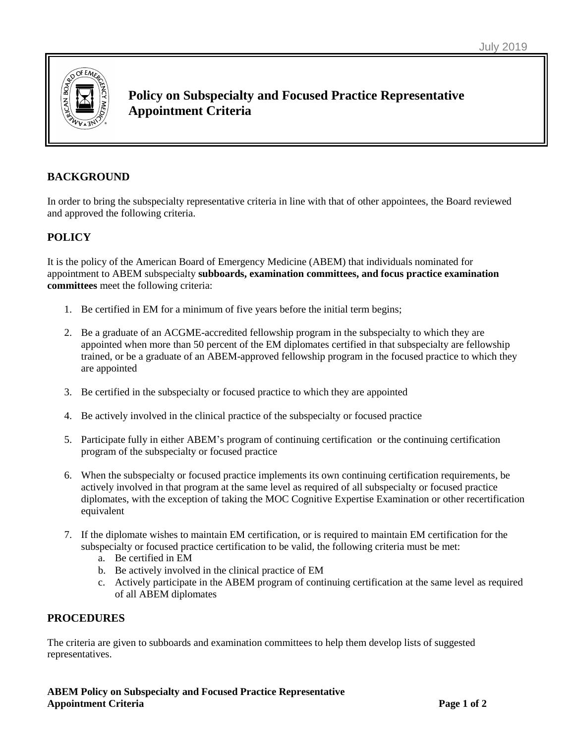

# **Policy on Subspecialty and Focused Practice Representative Appointment Criteria**

## **BACKGROUND**

In order to bring the subspecialty representative criteria in line with that of other appointees, the Board reviewed and approved the following criteria.

# **POLICY**

It is the policy of the American Board of Emergency Medicine (ABEM) that individuals nominated for appointment to ABEM subspecialty **subboards, examination committees, and focus practice examination committees** meet the following criteria:

- 1. Be certified in EM for a minimum of five years before the initial term begins;
- 2. Be a graduate of an ACGME-accredited fellowship program in the subspecialty to which they are appointed when more than 50 percent of the EM diplomates certified in that subspecialty are fellowship trained, or be a graduate of an ABEM-approved fellowship program in the focused practice to which they are appointed
- 3. Be certified in the subspecialty or focused practice to which they are appointed
- 4. Be actively involved in the clinical practice of the subspecialty or focused practice
- 5. Participate fully in either ABEM's program of continuing certification or the continuing certification program of the subspecialty or focused practice
- 6. When the subspecialty or focused practice implements its own continuing certification requirements, be actively involved in that program at the same level as required of all subspecialty or focused practice diplomates, with the exception of taking the MOC Cognitive Expertise Examination or other recertification equivalent
- 7. If the diplomate wishes to maintain EM certification, or is required to maintain EM certification for the subspecialty or focused practice certification to be valid, the following criteria must be met:
	- a. Be certified in EM
	- b. Be actively involved in the clinical practice of EM
	- c. Actively participate in the ABEM program of continuing certification at the same level as required of all ABEM diplomates

#### **PROCEDURES**

The criteria are given to subboards and examination committees to help them develop lists of suggested representatives.